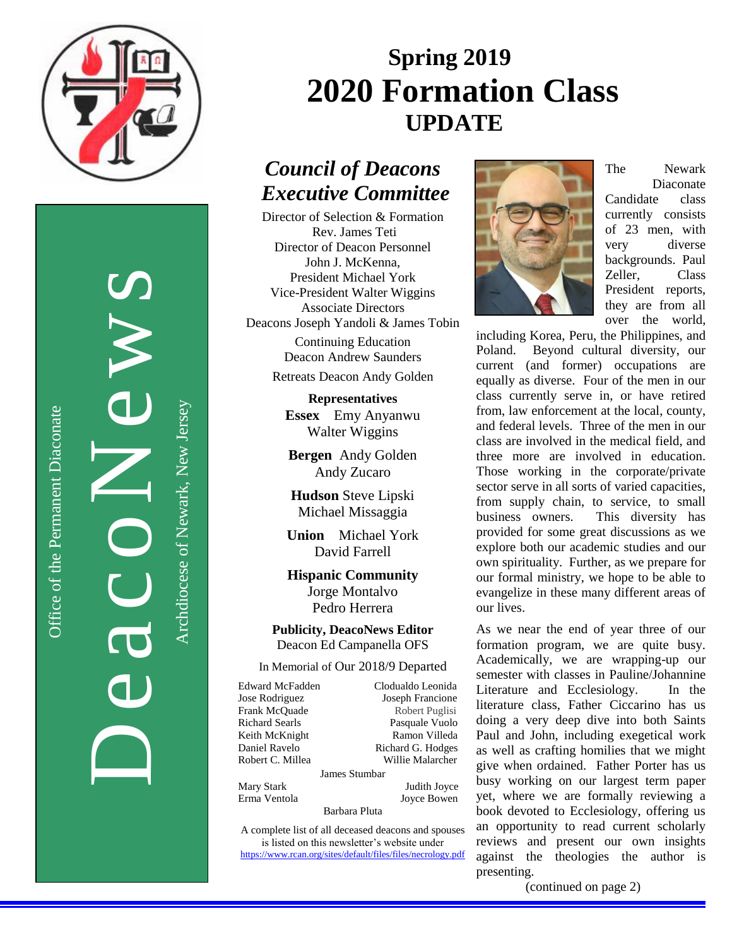

Office of the Permanent Diaconate

Office of the Permanent Diaconate

DeacoNews<br>Auchtere of Newslerse Archdiocese of Newark, New Jersey

Archdiocese of Newark, New Jersey

# **Spring 2019 2020 Formation Class UPDATE**

## *Council of Deacons Executive Committee*

Director of Selection & Formation Rev. James Teti Director of Deacon Personnel John J. McKenna, President Michael York Vice-President Walter Wiggins Associate Directors Deacons Joseph Yandoli & James Tobin Continuing Education Deacon Andrew Saunders

Retreats Deacon Andy Golden

**Representatives Essex** Emy Anyanwu Walter Wiggins

**Bergen** Andy Golden Andy Zucaro

**Hudson** Steve Lipski Michael Missaggia

**Union** Michael York David Farrell

**Hispanic Community** Jorge Montalvo Pedro Herrera

**Publicity, DeacoNews Editor** Deacon Ed Campanella OFS

In Memorial of Our 2018/9 Departed

Edward McFadden Clodualdo Leonida Jose Rodriguez Joseph Francione Frank McQuade Robert Puglisi Richard Searls Pasquale Vuolo Keith McKnight Ramon Villeda Daniel Ravelo Richard G. Hodges Robert C. Millea Willie Malarcher James Stumbar Mary Stark Judith Joyce Erma Ventola Joyce Bowen Barbara Pluta

A complete list of all deceased deacons and spouses is listed on this newsletter's website under <https://www.rcan.org/sites/default/files/files/necrology.pdf>



The Newark Diaconate Candidate class currently consists of 23 men, with very diverse backgrounds. Paul Zeller, Class President reports, they are from all over the world,

including Korea, Peru, the Philippines, and Poland. Beyond cultural diversity, our current (and former) occupations are equally as diverse. Four of the men in our class currently serve in, or have retired from, law enforcement at the local, county, and federal levels. Three of the men in our class are involved in the medical field, and three more are involved in education. Those working in the corporate/private sector serve in all sorts of varied capacities, from supply chain, to service, to small business owners. This diversity has provided for some great discussions as we explore both our academic studies and our own spirituality. Further, as we prepare for our formal ministry, we hope to be able to evangelize in these many different areas of our lives.

As we near the end of year three of our formation program, we are quite busy. Academically, we are wrapping-up our semester with classes in Pauline/Johannine Literature and Ecclesiology. In the literature class, Father Ciccarino has us doing a very deep dive into both Saints Paul and John, including exegetical work as well as crafting homilies that we might give when ordained. Father Porter has us busy working on our largest term paper yet, where we are formally reviewing a book devoted to Ecclesiology, offering us an opportunity to read current scholarly reviews and present our own insights against the theologies the author is presenting.

(continued on page 2)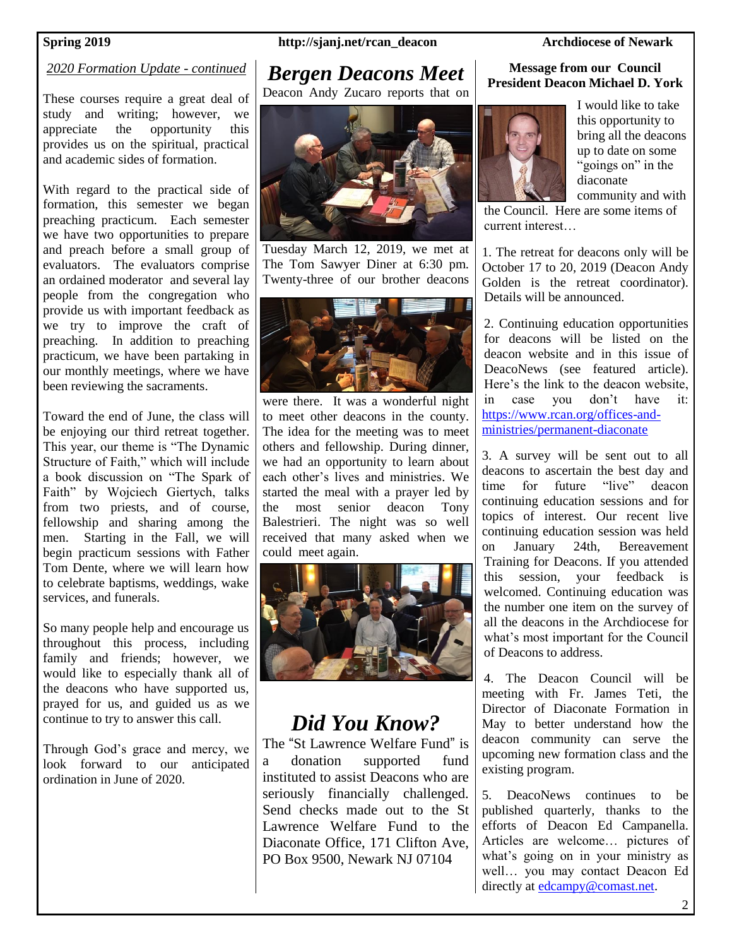## *2020 Formation Update - continued*

These courses require a great deal of study and writing; however, we appreciate the opportunity this provides us on the spiritual, practical and academic sides of formation.

With regard to the practical side of formation, this semester we began preaching practicum. Each semester we have two opportunities to prepare and preach before a small group of evaluators. The evaluators comprise an ordained moderator and several lay people from the congregation who provide us with important feedback as we try to improve the craft of preaching. In addition to preaching practicum, we have been partaking in our monthly meetings, where we have been reviewing the sacraments.

Toward the end of June, the class will be enjoying our third retreat together. This year, our theme is "The Dynamic Structure of Faith," which will include a book discussion on "The Spark of Faith" by Wojciech Giertych, talks from two priests, and of course, fellowship and sharing among the men. Starting in the Fall, we will begin practicum sessions with Father Tom Dente, where we will learn how to celebrate baptisms, weddings, wake services, and funerals.

So many people help and encourage us throughout this process, including family and friends; however, we would like to especially thank all of the deacons who have supported us, prayed for us, and guided us as we continue to try to answer this call.

Through God's grace and mercy, we look forward to our anticipated ordination in June of 2020.

### **Spring 2019 http://sjanj.net/rcan\_deacon Archdiocese of Newark**

## *Bergen Deacons Meet*

Deacon Andy Zucaro reports that on



Tuesday March 12, 2019, we met at The Tom Sawyer Diner at 6:30 pm. Twenty-three of our brother deacons



were there. It was a wonderful night to meet other deacons in the county. The idea for the meeting was to meet others and fellowship. During dinner, we had an opportunity to learn about each other's lives and ministries. We started the meal with a prayer led by the most senior deacon Tony Balestrieri. The night was so well received that many asked when we could meet again.



## *Did You Know?*

The "St Lawrence Welfare Fund" is a donation supported fund instituted to assist Deacons who are seriously financially challenged. Send checks made out to the St Lawrence Welfare Fund to the Diaconate Office, 171 Clifton Ave, PO Box 9500, Newark NJ 07104

### **Message from our Council President Deacon Michael D. York**



I would like to take this opportunity to bring all the deacons up to date on some "goings on" in the diaconate community and with

the Council. Here are some items of current interest…

1. The retreat for deacons only will be October 17 to 20, 2019 (Deacon Andy Golden is the retreat coordinator). Details will be announced.

2. Continuing education opportunities for deacons will be listed on the deacon website and in this issue of DeacoNews (see featured article). Here's the link to the deacon website, in case you don't have it: [https://www.rcan.org/offices-and](https://www.rcan.org/offices-and-ministries/permanent-diaconate)[ministries/permanent-diaconate](https://www.rcan.org/offices-and-ministries/permanent-diaconate)

3. A survey will be sent out to all deacons to ascertain the best day and time for future "live" deacon continuing education sessions and for topics of interest. Our recent live continuing education session was held on January 24th, Bereavement Training for Deacons. If you attended this session, your feedback is welcomed. Continuing education was the number one item on the survey of all the deacons in the Archdiocese for what's most important for the Council of Deacons to address.

4. The Deacon Council will be meeting with Fr. James Teti, the Director of Diaconate Formation in May to better understand how the deacon community can serve the upcoming new formation class and the existing program.

5. DeacoNews continues to be published quarterly, thanks to the efforts of Deacon Ed Campanella. Articles are welcome… pictures of what's going on in your ministry as well… you may contact Deacon Ed directly at [edcampy@comast.net.](mailto:edcampy@comast.net)

2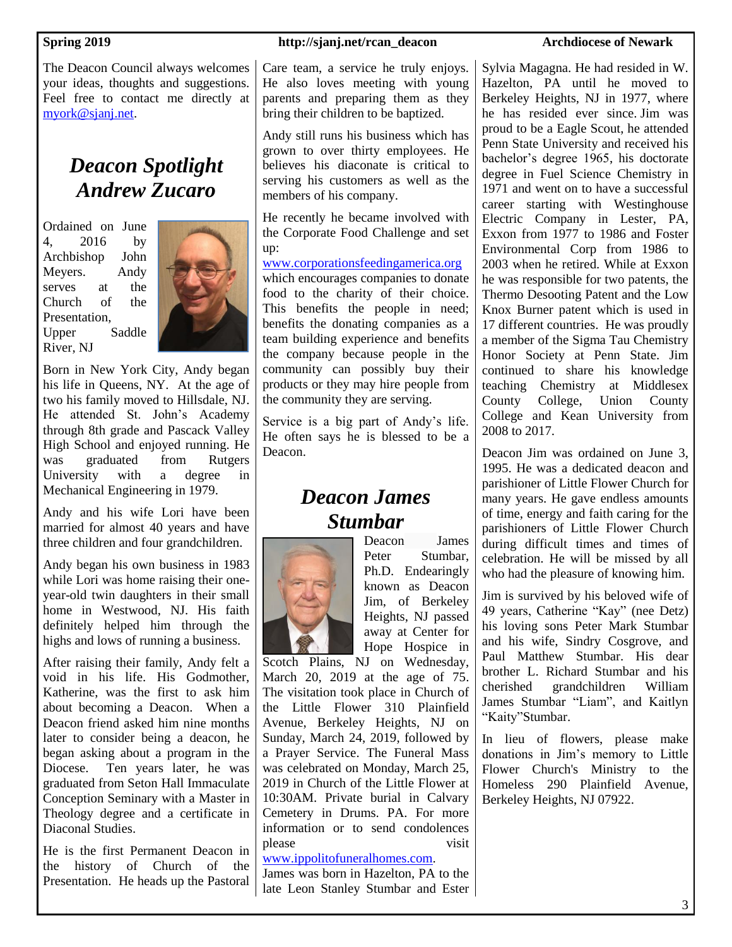The Deacon Council always welcomes your ideas, thoughts and suggestions. Feel free to contact me directly at [myork@sjanj.net.](mailto:myork@sjanj.net)

## *Deacon Spotlight Andrew Zucaro*

Ordained on June 4, 2016 by Archbishop John Meyers. Andy serves at the Church of the Presentation, Upper Saddle River, NJ



Born in New York City, Andy began his life in Queens, NY. At the age of two his family moved to Hillsdale, NJ. He attended St. John's Academy through 8th grade and Pascack Valley High School and enjoyed running. He was graduated from Rutgers University with a degree in Mechanical Engineering in 1979.

Andy and his wife Lori have been married for almost 40 years and have three children and four grandchildren.

Andy began his own business in 1983 while Lori was home raising their oneyear-old twin daughters in their small home in Westwood, NJ. His faith definitely helped him through the highs and lows of running a business.

After raising their family, Andy felt a void in his life. His Godmother, Katherine, was the first to ask him about becoming a Deacon. When a Deacon friend asked him nine months later to consider being a deacon, he began asking about a program in the Diocese. Ten years later, he was graduated from Seton Hall Immaculate Conception Seminary with a Master in Theology degree and a certificate in Diaconal Studies.

He is the first Permanent Deacon in the history of Church of the Presentation. He heads up the Pastoral

### **Spring 2019 http://sjanj.net/rcan\_deacon Archdiocese of Newark**

Care team, a service he truly enjoys. He also loves meeting with young parents and preparing them as they bring their children to be baptized.

Andy still runs his business which has grown to over thirty employees. He believes his diaconate is critical to serving his customers as well as the members of his company.

He recently he became involved with the Corporate Food Challenge and set up:

[www.corporationsfeedingamerica.org](http://www.corporationsfeedingamerica.org/) which encourages companies to donate food to the charity of their choice. This benefits the people in need; benefits the donating companies as a team building experience and benefits the company because people in the community can possibly buy their products or they may hire people from the community they are serving.

Service is a big part of Andy's life. He often says he is blessed to be a Deacon.

## *Deacon James Stumbar*



Deacon James Peter Stumbar, Ph.D. Endearingly known as Deacon Jim, of Berkeley Heights, NJ passed away at Center for Hope Hospice in

Scotch Plains, NJ on Wednesday, March 20, 2019 at the age of 75. The visitation took place in Church of the Little Flower 310 Plainfield Avenue, Berkeley Heights, NJ on Sunday, March 24, 2019, followed by a Prayer Service. The Funeral Mass was celebrated on Monday, March 25, 2019 in Church of the Little Flower at 10:30AM. Private burial in Calvary Cemetery in Drums. PA. For more information or to send condolences please visit

## [www.ippolitofuneralhomes.com.](http://www.ippolitofuneralhomes.com/)

James was born in Hazelton, PA to the late Leon Stanley Stumbar and Ester

Sylvia Magagna. He had resided in W. Hazelton, PA until he moved to Berkeley Heights, NJ in 1977, where he has resided ever since. Jim was proud to be a Eagle Scout, he attended Penn State University and received his bachelor's degree 1965, his doctorate degree in Fuel Science Chemistry in 1971 and went on to have a successful career starting with Westinghouse Electric Company in Lester, PA, Exxon from 1977 to 1986 and Foster Environmental Corp from 1986 to 2003 when he retired. While at Exxon he was responsible for two patents, the Thermo Desooting Patent and the Low Knox Burner patent which is used in 17 different countries. He was proudly a member of the Sigma Tau Chemistry Honor Society at Penn State. Jim continued to share his knowledge teaching Chemistry at Middlesex County College, Union County College and Kean University from 2008 to 2017.

Deacon Jim was ordained on June 3, 1995. He was a dedicated deacon and parishioner of Little Flower Church for many years. He gave endless amounts of time, energy and faith caring for the parishioners of Little Flower Church during difficult times and times of celebration. He will be missed by all who had the pleasure of knowing him.

Jim is survived by his beloved wife of 49 years, Catherine "Kay" (nee Detz) his loving sons Peter Mark Stumbar and his wife, Sindry Cosgrove, and Paul Matthew Stumbar. His dear brother L. Richard Stumbar and his cherished grandchildren William James Stumbar "Liam", and Kaitlyn "Kaity"Stumbar.

In lieu of flowers, please make donations in Jim's memory to Little Flower Church's Ministry to the Homeless 290 Plainfield Avenue, Berkeley Heights, NJ 07922.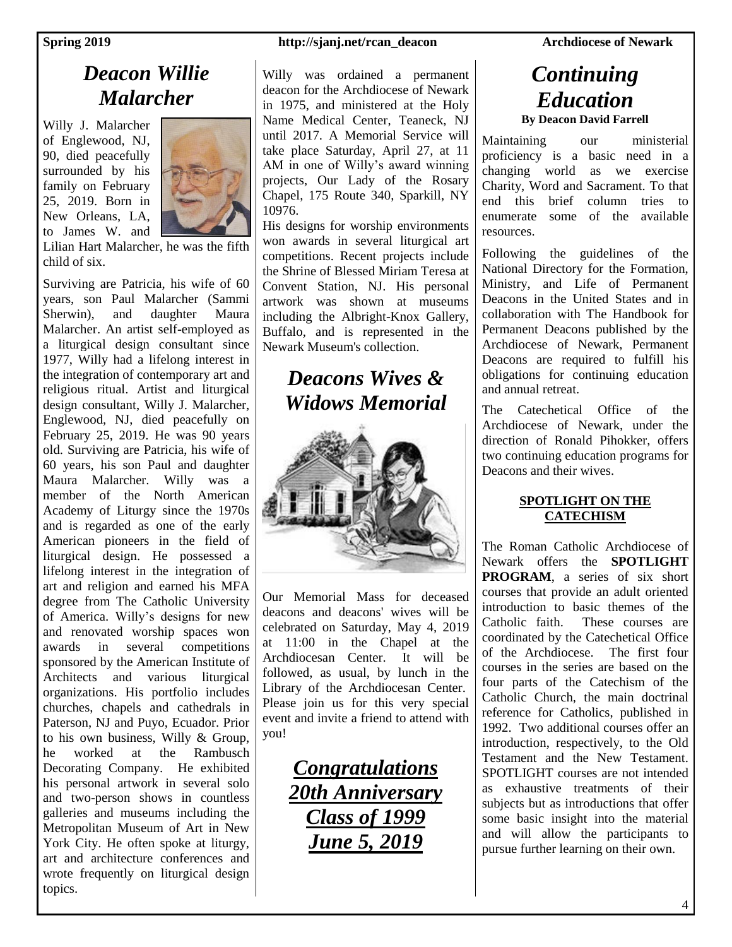## *Deacon Willie Malarcher*

Willy J. Malarcher of Englewood, NJ, 90, died peacefully surrounded by his family on February 25, 2019. Born in New Orleans, LA, to James W. and



Lilian Hart Malarcher, he was the fifth child of six.

Surviving are Patricia, his wife of 60 years, son Paul Malarcher (Sammi Sherwin), and daughter Maura Malarcher. An artist self-employed as a liturgical design consultant since 1977, Willy had a lifelong interest in the integration of contemporary art and religious ritual. Artist and liturgical design consultant, Willy J. Malarcher, Englewood, NJ, died peacefully on February 25, 2019. He was 90 years old. Surviving are Patricia, his wife of 60 years, his son Paul and daughter Maura Malarcher. Willy was a member of the North American Academy of Liturgy since the 1970s and is regarded as one of the early American pioneers in the field of liturgical design. He possessed a lifelong interest in the integration of art and religion and earned his MFA degree from The Catholic University of America. Willy's designs for new and renovated worship spaces won awards in several competitions sponsored by the American Institute of Architects and various liturgical organizations. His portfolio includes churches, chapels and cathedrals in Paterson, NJ and Puyo, Ecuador. Prior to his own business, Willy & Group, he worked at the Rambusch Decorating Company. He exhibited his personal artwork in several solo and two-person shows in countless galleries and museums including the Metropolitan Museum of Art in New York City. He often spoke at liturgy, art and architecture conferences and wrote frequently on liturgical design topics.

### **Spring 2019 http://sjanj.net/rcan\_deacon Archdiocese of Newark**

Willy was ordained a permanent deacon for the Archdiocese of Newark in 1975, and ministered at the Holy Name Medical Center, Teaneck, NJ until 2017. A Memorial Service will take place Saturday, April 27, at 11 AM in one of Willy's award winning projects, Our Lady of the Rosary Chapel, 175 Route 340, Sparkill, NY 10976.

His designs for worship environments won awards in several liturgical art competitions. Recent projects include the Shrine of Blessed Miriam Teresa at Convent Station, NJ. His personal artwork was shown at museums including the Albright-Knox Gallery, Buffalo, and is represented in the Newark Museum's collection.

## *Deacons Wives & Widows Memorial*



Our Memorial Mass for deceased deacons and deacons' wives will be celebrated on Saturday, May 4, 2019 at 11:00 in the Chapel at the Archdiocesan Center. It will be followed, as usual, by lunch in the Library of the Archdiocesan Center. Please join us for this very special event and invite a friend to attend with you!

> *Congratulations 20th Anniversary Class of 1999 June 5, 2019*

## *Continuing Education* **By Deacon David Farrell**

Maintaining our ministerial proficiency is a basic need in a changing world as we exercise Charity, Word and Sacrament. To that end this brief column tries to enumerate some of the available resources.

Following the guidelines of the National Directory for the Formation, Ministry, and Life of Permanent Deacons in the United States and in collaboration with The Handbook for Permanent Deacons published by the Archdiocese of Newark, Permanent Deacons are required to fulfill his obligations for continuing education and annual retreat.

The Catechetical Office of the Archdiocese of Newark, under the direction of Ronald Pihokker, offers two continuing education programs for Deacons and their wives.

## **SPOTLIGHT ON THE CATECHISM**

The Roman Catholic Archdiocese of Newark offers the **SPOTLIGHT PROGRAM**, a series of six short courses that provide an adult oriented introduction to basic themes of the Catholic faith. These courses are coordinated by the Catechetical Office of the Archdiocese. The first four courses in the series are based on the four parts of the Catechism of the Catholic Church, the main doctrinal reference for Catholics, published in 1992. Two additional courses offer an introduction, respectively, to the Old Testament and the New Testament. SPOTLIGHT courses are not intended as exhaustive treatments of their subjects but as introductions that offer some basic insight into the material and will allow the participants to pursue further learning on their own.